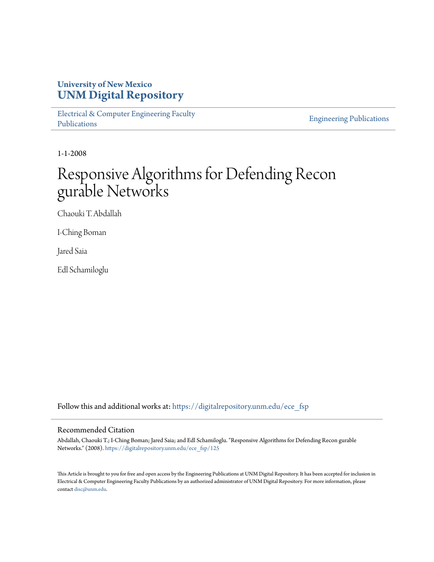# **University of New Mexico [UNM Digital Repository](https://digitalrepository.unm.edu?utm_source=digitalrepository.unm.edu%2Fece_fsp%2F125&utm_medium=PDF&utm_campaign=PDFCoverPages)**

[Electrical & Computer Engineering Faculty](https://digitalrepository.unm.edu/ece_fsp?utm_source=digitalrepository.unm.edu%2Fece_fsp%2F125&utm_medium=PDF&utm_campaign=PDFCoverPages) [Publications](https://digitalrepository.unm.edu/ece_fsp?utm_source=digitalrepository.unm.edu%2Fece_fsp%2F125&utm_medium=PDF&utm_campaign=PDFCoverPages)

[Engineering Publications](https://digitalrepository.unm.edu/eng_fsp?utm_source=digitalrepository.unm.edu%2Fece_fsp%2F125&utm_medium=PDF&utm_campaign=PDFCoverPages)

1-1-2008

# Responsive Algorithms for Defending Recon gurable Networks

Chaouki T. Abdallah

I-Ching Boman

Jared Saia

Edl Schamiloglu

Follow this and additional works at: [https://digitalrepository.unm.edu/ece\\_fsp](https://digitalrepository.unm.edu/ece_fsp?utm_source=digitalrepository.unm.edu%2Fece_fsp%2F125&utm_medium=PDF&utm_campaign=PDFCoverPages)

# Recommended Citation

Abdallah, Chaouki T.; I-Ching Boman; Jared Saia; and Edl Schamiloglu. "Responsive Algorithms for Defending Recon gurable Networks." (2008). [https://digitalrepository.unm.edu/ece\\_fsp/125](https://digitalrepository.unm.edu/ece_fsp/125?utm_source=digitalrepository.unm.edu%2Fece_fsp%2F125&utm_medium=PDF&utm_campaign=PDFCoverPages)

This Article is brought to you for free and open access by the Engineering Publications at UNM Digital Repository. It has been accepted for inclusion in Electrical & Computer Engineering Faculty Publications by an authorized administrator of UNM Digital Repository. For more information, please contact [disc@unm.edu.](mailto:disc@unm.edu)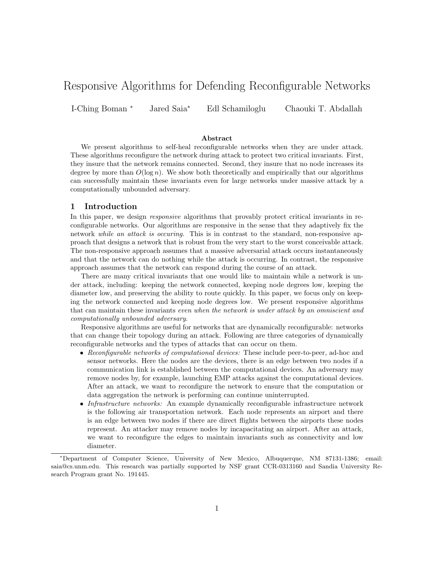# Responsive Algorithms for Defending Reconfigurable Networks

I-Ching Boman <sup>∗</sup> Jared Saia<sup>∗</sup> Edl Schamiloglu Chaouki T. Abdallah

#### Abstract

We present algorithms to self-heal reconfigurable networks when they are under attack. These algorithms reconfigure the network during attack to protect two critical invariants. First, they insure that the network remains connected. Second, they insure that no node increases its degree by more than  $O(\log n)$ . We show both theoretically and empirically that our algorithms can successfully maintain these invariants even for large networks under massive attack by a computationally unbounded adversary.

# 1 Introduction

In this paper, we design *responsive* algorithms that provably protect critical invariants in reconfigurable networks. Our algorithms are responsive in the sense that they adaptively fix the network while an attack is occurring. This is in contrast to the standard, non-responsive approach that designs a network that is robust from the very start to the worst conceivable attack. The non-responsive approach assumes that a massive adversarial attack occurs instantaneously and that the network can do nothing while the attack is occurring. In contrast, the responsive approach assumes that the network can respond during the course of an attack.

There are many critical invariants that one would like to maintain while a network is under attack, including: keeping the network connected, keeping node degrees low, keeping the diameter low, and preserving the ability to route quickly. In this paper, we focus only on keeping the network connected and keeping node degrees low. We present responsive algorithms that can maintain these invariants even when the network is under attack by an omniscient and computationally unbounded adversary.

Responsive algorithms are useful for networks that are dynamically reconfigurable: networks that can change their topology during an attack. Following are three categories of dynamically reconfigurable networks and the types of attacks that can occur on them.

- Reconfigurable networks of computational devices: These include peer-to-peer, ad-hoc and sensor networks. Here the nodes are the devices, there is an edge between two nodes if a communication link is established between the computational devices. An adversary may remove nodes by, for example, launching EMP attacks against the computational devices. After an attack, we want to reconfigure the network to ensure that the computation or data aggregation the network is performing can continue uninterrupted.
- Infrastructure networks: An example dynamically reconfigurable infrastructure network is the following air transportation network. Each node represents an airport and there is an edge between two nodes if there are direct flights between the airports these nodes represent. An attacker may remove nodes by incapacitating an airport. After an attack, we want to reconfigure the edges to maintain invariants such as connectivity and low diameter.

<sup>∗</sup>Department of Computer Science, University of New Mexico, Albuquerque, NM 87131-1386; email: saia@cs.unm.edu. This research was partially supported by NSF grant CCR-0313160 and Sandia University Research Program grant No. 191445.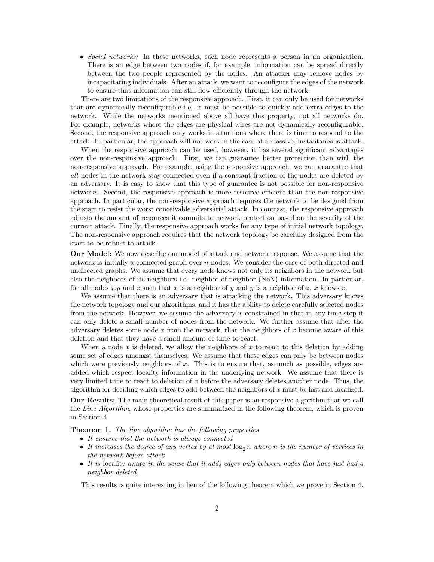• Social networks: In these networks, each node represents a person in an organization. There is an edge between two nodes if, for example, information can be spread directly between the two people represented by the nodes. An attacker may remove nodes by incapacitating individuals. After an attack, we want to reconfigure the edges of the network to ensure that information can still flow efficiently through the network.

There are two limitations of the responsive approach. First, it can only be used for networks that are dynamically reconfigurable i.e. it must be possible to quickly add extra edges to the network. While the networks mentioned above all have this property, not all networks do. For example, networks where the edges are physical wires are not dynamically reconfigurable. Second, the responsive approach only works in situations where there is time to respond to the attack. In particular, the approach will not work in the case of a massive, instantaneous attack.

When the responsive approach can be used, however, it has several significant advantages over the non-responsive approach. First, we can guarantee better protection than with the non-responsive approach. For example, using the responsive approach, we can guarantee that all nodes in the network stay connected even if a constant fraction of the nodes are deleted by an adversary. It is easy to show that this type of guarantee is not possible for non-responsive networks. Second, the responsive approach is more resource efficient than the non-responsive approach. In particular, the non-responsive approach requires the network to be designed from the start to resist the worst conceivable adversarial attack. In contrast, the responsive approach adjusts the amount of resources it commits to network protection based on the severity of the current attack. Finally, the responsive approach works for any type of initial network topology. The non-responsive approach requires that the network topology be carefully designed from the start to be robust to attack.

Our Model: We now describe our model of attack and network response. We assume that the network is initially a connected graph over  $n$  nodes. We consider the case of both directed and undirected graphs. We assume that every node knows not only its neighbors in the network but also the neighbors of its neighbors i.e. neighbor-of-neighbor (NoN) information. In particular, for all nodes  $x,y$  and z such that x is a neighbor of y and y is a neighbor of z, x knows z.

We assume that there is an adversary that is attacking the network. This adversary knows the network topology and our algorithms, and it has the ability to delete carefully selected nodes from the network. However, we assume the adversary is constrained in that in any time step it can only delete a small number of nodes from the network. We further assume that after the adversary deletes some node  $x$  from the network, that the neighbors of  $x$  become aware of this deletion and that they have a small amount of time to react.

When a node  $x$  is deleted, we allow the neighbors of  $x$  to react to this deletion by adding some set of edges amongst themselves. We assume that these edges can only be between nodes which were previously neighbors of  $x$ . This is to ensure that, as much as possible, edges are added which respect locality information in the underlying network. We assume that there is very limited time to react to deletion of  $x$  before the adversary deletes another node. Thus, the algorithm for deciding which edges to add between the neighbors of  $x$  must be fast and localized.

Our Results: The main theoretical result of this paper is an responsive algorithm that we call the Line Algorithm, whose properties are summarized in the following theorem, which is proven in Section 4

Theorem 1. The line algorithm has the following properties

- It ensures that the network is always connected
- It increases the degree of any vertex by at most  $\log_2 n$  where n is the number of vertices in the network before attack
- It is locality aware in the sense that it adds edges only between nodes that have just had a neighbor deleted.

This results is quite interesting in lieu of the following theorem which we prove in Section 4.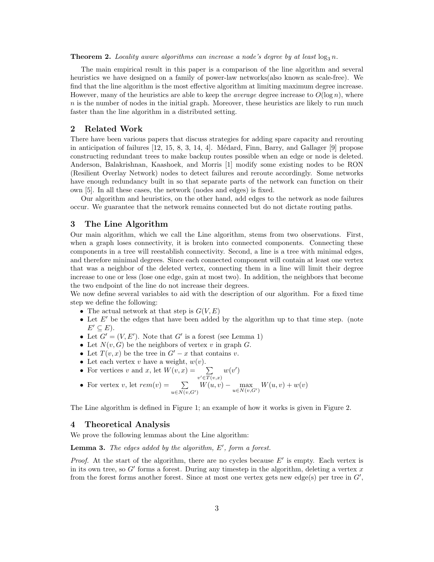**Theorem 2.** Locality aware algorithms can increase a node's degree by at least  $\log_3 n$ .

The main empirical result in this paper is a comparison of the line algorithm and several heuristics we have designed on a family of power-law networks(also known as scale-free). We find that the line algorithm is the most effective algorithm at limiting maximum degree increase. However, many of the heuristics are able to keep the *average* degree increase to  $O(\log n)$ , where  $n$  is the number of nodes in the initial graph. Moreover, these heuristics are likely to run much faster than the line algorithm in a distributed setting.

## 2 Related Work

There have been various papers that discuss strategies for adding spare capacity and rerouting in anticipation of failures  $[12, 15, 8, 3, 14, 4]$ . Médard, Finn, Barry, and Gallager  $[9]$  propose constructing redundant trees to make backup routes possible when an edge or node is deleted. Anderson, Balakrishnan, Kaashoek, and Morris [1] modify some existing nodes to be RON (Resilient Overlay Network) nodes to detect failures and reroute accordingly. Some networks have enough redundancy built in so that separate parts of the network can function on their own [5]. In all these cases, the network (nodes and edges) is fixed.

Our algorithm and heuristics, on the other hand, add edges to the network as node failures occur. We guarantee that the network remains connected but do not dictate routing paths.

#### 3 The Line Algorithm

Our main algorithm, which we call the Line algorithm, stems from two observations. First, when a graph loses connectivity, it is broken into connected components. Connecting these components in a tree will reestablish connectivity. Second, a line is a tree with minimal edges, and therefore minimal degrees. Since each connected component will contain at least one vertex that was a neighbor of the deleted vertex, connecting them in a line will limit their degree increase to one or less (lose one edge, gain at most two). In addition, the neighbors that become the two endpoint of the line do not increase their degrees.

We now define several variables to aid with the description of our algorithm. For a fixed time step we define the following:

- The actual network at that step is  $G(V, E)$
- Let  $E'$  be the edges that have been added by the algorithm up to that time step. (note  $E' \subseteq E$ ).
- Let  $G' = (V, E')$ . Note that G' is a forest (see Lemma 1)
- Let  $N(v, G)$  be the neighbors of vertex v in graph G.
- Let  $T(v, x)$  be the tree in  $G' x$  that contains v.
- Let each vertex v have a weight,  $w(v)$ .
- For vertices v and x, let  $W(v, x) = \sum$  $w(v')$

• For vertex v, let 
$$
rem(v) = \sum_{u \in N(v, G')}^{v' \in T(v, x)} W(u, v) - \max_{u \in N(v, G')} W(u, v) + w(v)
$$

The Line algorithm is defined in Figure 1; an example of how it works is given in Figure 2.

#### 4 Theoretical Analysis

We prove the following lemmas about the Line algorithm:

**Lemma 3.** The edges added by the algorithm,  $E'$ , form a forest.

*Proof.* At the start of the algorithm, there are no cycles because  $E'$  is empty. Each vertex is in its own tree, so  $G'$  forms a forest. During any timestep in the algorithm, deleting a vertex  $x$ from the forest forms another forest. Since at most one vertex gets new edge(s) per tree in  $G'$ ,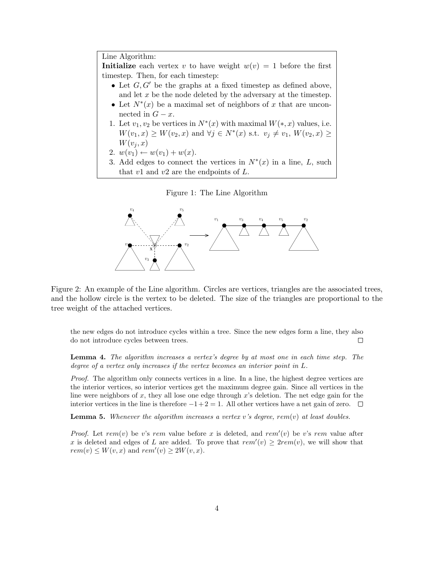# Line Algorithm:

**Initialize** each vertex v to have weight  $w(v) = 1$  before the first timestep. Then, for each timestep:

- Let  $G, G'$  be the graphs at a fixed timestep as defined above, and let  $x$  be the node deleted by the adversary at the timestep.
- Let  $N^*(x)$  be a maximal set of neighbors of x that are unconnected in  $G - x$ .
- 1. Let  $v_1, v_2$  be vertices in  $N^*(x)$  with maximal  $W(*,x)$  values, i.e.  $W(v_1, x) \ge W(v_2, x)$  and  $\forall j \in N^*(x)$  s.t.  $v_j \ne v_1, W(v_2, x) \ge$  $W(v_i, x)$
- 2.  $w(v_1) \leftarrow w(v_1) + w(x)$ .
- 3. Add edges to connect the vertices in  $N^*(x)$  in a line, L, such that  $v1$  and  $v2$  are the endpoints of  $L$ .

#### Figure 1: The Line Algorithm



Figure 2: An example of the Line algorithm. Circles are vertices, triangles are the associated trees, and the hollow circle is the vertex to be deleted. The size of the triangles are proportional to the tree weight of the attached vertices.

the new edges do not introduce cycles within a tree. Since the new edges form a line, they also do not introduce cycles between trees.  $\Box$ 

Lemma 4. The algorithm increases a vertex's degree by at most one in each time step. The degree of a vertex only increases if the vertex becomes an interior point in L.

Proof. The algorithm only connects vertices in a line. In a line, the highest degree vertices are the interior vertices, so interior vertices get the maximum degree gain. Since all vertices in the line were neighbors of x, they all lose one edge through x's deletion. The net edge gain for the interior vertices in the line is therefore  $-1+2=1$ . All other vertices have a net gain of zero.  $\Box$ 

**Lemma 5.** Whenever the algorithm increases a vertex v's degree,  $rem(v)$  at least doubles.

*Proof.* Let  $rem(v)$  be v's rem value before x is deleted, and  $rem'(v)$  be v's rem value after x is deleted and edges of L are added. To prove that  $rem'(v) \ge 2rem(v)$ , we will show that  $rem(v) \leq W(v, x)$  and  $rem'(v) \geq 2W(v, x)$ .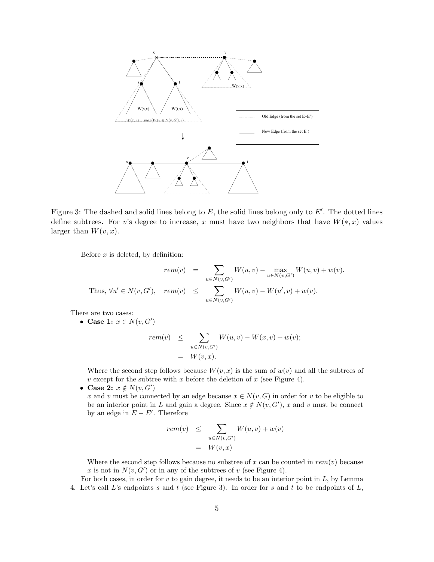

Figure 3: The dashed and solid lines belong to  $E$ , the solid lines belong only to  $E'$ . The dotted lines define subtrees. For v's degree to increase, x must have two neighbors that have  $W(*,x)$  values larger than  $W(v, x)$ .

Before  $x$  is deleted, by definition:

$$
rem(v) = \sum_{u \in N(v, G')} W(u, v) - \max_{u \in N(v, G')} W(u, v) + w(v).
$$
  
Thus,  $\forall u' \in N(v, G'), \text{ rem}(v) \le \sum_{u \in N(v, G')} W(u, v) - W(u', v) + w(v).$ 

There are two cases:

• Case 1:  $x \in N(v, G')$ 

$$
rem(v) \leq \sum_{u \in N(v, G')} W(u, v) - W(x, v) + w(v);
$$
  
=  $W(v, x).$ 

Where the second step follows because  $W(v, x)$  is the sum of  $w(v)$  and all the subtrees of v except for the subtree with x before the deletion of x (see Figure 4).

• Case 2:  $x \notin N(v, G')$ 

x and v must be connected by an edge because  $x \in N(v, G)$  in order for v to be eligible to be an interior point in L and gain a degree. Since  $x \notin N(v, G')$ , x and v must be connect by an edge in  $E - E'$ . Therefore

$$
rem(v) \leq \sum_{u \in N(v, G')} W(u, v) + w(v)
$$
  
=  $W(v, x)$ 

Where the second step follows because no substree of x can be counted in  $rem(v)$  because x is not in  $N(v, G')$  or in any of the subtrees of v (see Figure 4).

For both cases, in order for  $v$  to gain degree, it needs to be an interior point in  $L$ , by Lemma 4. Let's call  $L$ 's endpoints s and t (see Figure 3). In order for s and t to be endpoints of  $L$ ,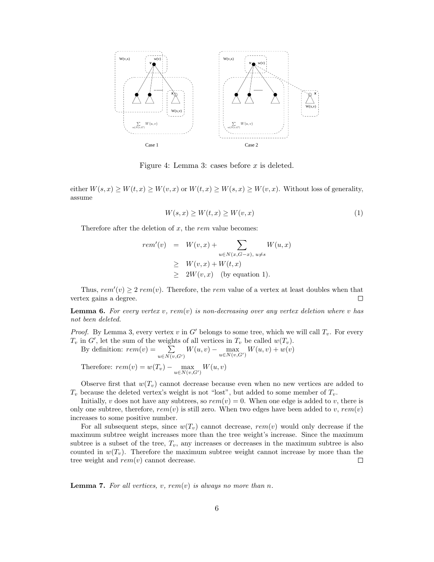

Figure 4: Lemma 3: cases before  $x$  is deleted.

either  $W(s, x) \ge W(t, x) \ge W(v, x)$  or  $W(t, x) \ge W(s, x) \ge W(v, x)$ . Without loss of generality, assume

$$
W(s,x) \ge W(t,x) \ge W(v,x) \tag{1}
$$

Therefore after the deletion of  $x$ , the rem value becomes:

$$
rem'(v) = W(v, x) + \sum_{u \in N(x, G-x), u \neq s} W(u, x)
$$
  
\n
$$
\geq W(v, x) + W(t, x)
$$
  
\n
$$
\geq 2W(v, x) \text{ (by equation 1)}.
$$

Thus,  $rem'(v) \geq 2 rem(v)$ . Therefore, the rem value of a vertex at least doubles when that vertex gains a degree.  $\Box$ 

**Lemma 6.** For every vertex v,  $rem(v)$  is non-decreasing over any vertex deletion where v has not been deleted.

*Proof.* By Lemma 3, every vertex v in G' belongs to some tree, which we will call  $T_v$ . For every  $T_v$  in G', let the sum of the weights of all vertices in  $T_v$  be called  $w(T_v)$ .

By definition: 
$$
rem(v) = \sum_{u \in N(v, G')} W(u, v) - \max_{u \in N(v, G')} W(u, v) + w(v)
$$
  
Therefore:  $rem(v) = w(T_v) - \max_{u \in N(v, G')} W(u, v)$ 

Observe first that  $w(T_v)$  cannot decrease because even when no new vertices are added to  $T_v$  because the deleted vertex's weight is not "lost", but added to some member of  $T_v$ .

Initially, v does not have any subtrees, so  $rem(v) = 0$ . When one edge is added to v, there is only one subtree, therefore,  $rem(v)$  is still zero. When two edges have been added to v,  $rem(v)$ increases to some positive number.

For all subsequent steps, since  $w(T_v)$  cannot decrease, rem(v) would only decrease if the maximum subtree weight increases more than the tree weight's increase. Since the maximum subtree is a subset of the tree,  $T_v$ , any increases or decreases in the maximum subtree is also counted in  $w(T_v)$ . Therefore the maximum subtree weight cannot increase by more than the tree weight and  $rem(v)$  cannot decrease.  $\Box$ 

**Lemma 7.** For all vertices, v, rem(v) is always no more than n.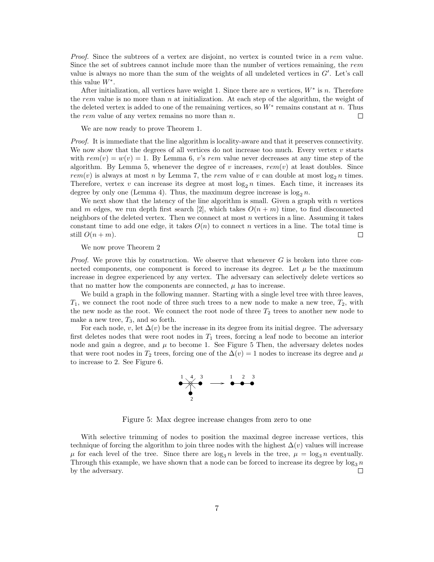Proof. Since the subtrees of a vertex are disjoint, no vertex is counted twice in a rem value. Since the set of subtrees cannot include more than the number of vertices remaining, the rem value is always no more than the sum of the weights of all undeleted vertices in  $G'$ . Let's call this value  $W^*$ .

After initialization, all vertices have weight 1. Since there are n vertices,  $W^*$  is n. Therefore the rem value is no more than  $n$  at initialization. At each step of the algorithm, the weight of the deleted vertex is added to one of the remaining vertices, so  $W^*$  remains constant at n. Thus the rem value of any vertex remains no more than  $n$ .  $\Box$ 

We are now ready to prove Theorem 1.

Proof. It is immediate that the line algorithm is locality-aware and that it preserves connectivity. We now show that the degrees of all vertices do not increase too much. Every vertex  $v$  starts with  $rem(v) = w(v) = 1$ . By Lemma 6, v's rem value never decreases at any time step of the algorithm. By Lemma 5, whenever the degree of v increases,  $rem(v)$  at least doubles. Since rem(v) is always at most n by Lemma 7, the rem value of v can double at most  $\log_2 n$  times. Therefore, vertex v can increase its degree at most  $\log_2 n$  times. Each time, it increases its degree by only one (Lemma 4). Thus, the maximum degree increase is  $\log_2 n$ .

We next show that the latency of the line algorithm is small. Given a graph with  $n$  vertices and m edges, we run depth first search [2], which takes  $O(n + m)$  time, to find disconnected neighbors of the deleted vertex. Then we connect at most  $n$  vertices in a line. Assuming it takes constant time to add one edge, it takes  $O(n)$  to connect n vertices in a line. The total time is still  $O(n+m)$ .  $\Box$ 

We now prove Theorem 2

*Proof.* We prove this by construction. We observe that whenever  $G$  is broken into three connected components, one component is forced to increase its degree. Let  $\mu$  be the maximum increase in degree experienced by any vertex. The adversary can selectively delete vertices so that no matter how the components are connected,  $\mu$  has to increase.

We build a graph in the following manner. Starting with a single level tree with three leaves,  $T_1$ , we connect the root node of three such trees to a new node to make a new tree,  $T_2$ , with the new node as the root. We connect the root node of three  $T_2$  trees to another new node to make a new tree,  $T_3$ , and so forth.

For each node, v, let  $\Delta(v)$  be the increase in its degree from its initial degree. The adversary first deletes nodes that were root nodes in  $T_1$  trees, forcing a leaf node to become an interior node and gain a degree, and  $\mu$  to become 1. See Figure 5 Then, the adversary deletes nodes that were root nodes in  $T_2$  trees, forcing one of the  $\Delta(v) = 1$  nodes to increase its degree and  $\mu$ to increase to 2. See Figure 6.



Figure 5: Max degree increase changes from zero to one

With selective trimming of nodes to position the maximal degree increase vertices, this technique of forcing the algorithm to join three nodes with the highest  $\Delta(v)$  values will increase  $\mu$  for each level of the tree. Since there are  $\log_3 n$  levels in the tree,  $\mu = \log_3 n$  eventually. Through this example, we have shown that a node can be forced to increase its degree by  $\log_3 n$ by the adversary.  $\Box$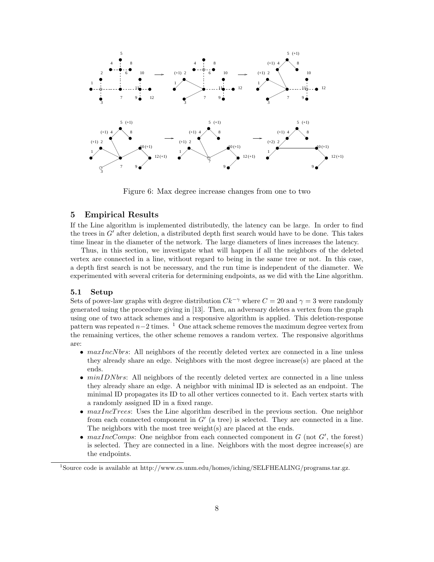

Figure 6: Max degree increase changes from one to two

#### 5 Empirical Results

If the Line algorithm is implemented distributedly, the latency can be large. In order to find the trees in  $G'$  after deletion, a distributed depth first search would have to be done. This takes time linear in the diameter of the network. The large diameters of lines increases the latency.

Thus, in this section, we investigate what will happen if all the neighbors of the deleted vertex are connected in a line, without regard to being in the same tree or not. In this case, a depth first search is not be necessary, and the run time is independent of the diameter. We experimented with several criteria for determining endpoints, as we did with the Line algorithm.

#### 5.1 Setup

Sets of power-law graphs with degree distribution  $Ck^{-\gamma}$  where  $C = 20$  and  $\gamma = 3$  were randomly generated using the procedure giving in [13]. Then, an adversary deletes a vertex from the graph using one of two attack schemes and a responsive algorithm is applied. This deletion-response pattern was repeated  $n-2$  times. <sup>1</sup> One attack scheme removes the maximum degree vertex from the remaining vertices, the other scheme removes a random vertex. The responsive algorithms are:

- $maxIncNbrs$ : All neighbors of the recently deleted vertex are connected in a line unless they already share an edge. Neighbors with the most degree increase(s) are placed at the ends.
- $\bullet$  minIDNbrs: All neighbors of the recently deleted vertex are connected in a line unless they already share an edge. A neighbor with minimal ID is selected as an endpoint. The minimal ID propagates its ID to all other vertices connected to it. Each vertex starts with a randomly assigned ID in a fixed range.
- $maxInCFrees:$  Uses the Line algorithm described in the previous section. One neighbor from each connected component in  $G'$  (a tree) is selected. They are connected in a line. The neighbors with the most tree weight(s) are placed at the ends.
- $maxIncComps$ : One neighbor from each connected component in  $G$  (not  $G'$ , the forest) is selected. They are connected in a line. Neighbors with the most degree increase(s) are the endpoints.

<sup>1</sup>Source code is available at http://www.cs.unm.edu/homes/iching/SELFHEALING/programs.tar.gz.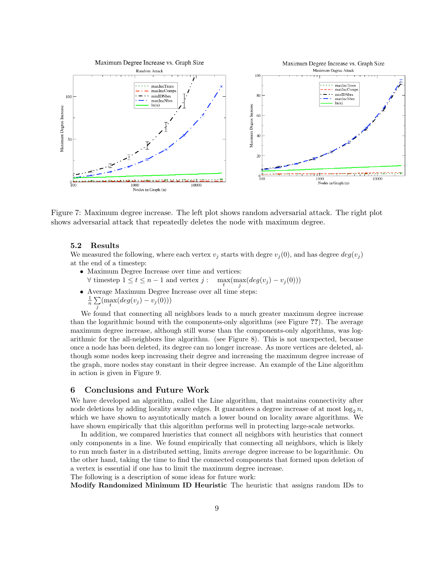

Figure 7: Maximum degree increase. The left plot shows random adversarial attack. The right plot shows adversarial attack that repeatedly deletes the node with maximum degree.

# 5.2 Results

We measured the following, where each vertex  $v_i$  starts with degre  $v_i(0)$ , and has degree  $deg(v_i)$ at the end of a timestep:

- Maximum Degree Increase over time and vertices:  $∀$  timestep  $1 ≤ t ≤ n - 1$  and vertex j :  $(\max(deg(v_j) - v_j(0)))$
- Average Maximum Degree Increase over all time steps:<br>  $\frac{1}{2} \sum_{n=1}^{\infty} \frac{d}{dx} \left( \frac{d}{dx} \right) \frac{d}{dx} \left( \frac{d}{dx} \right)$  $\frac{1}{n} \sum$ j  $(\max_t (deg(v_j) - v_j(0)))$

We found that connecting all neighbors leads to a much greater maximum degree increase than the logarithmic bound with the components-only algorithms (see Figure ??). The average maximum degree increase, although still worse than the components-only algorithms, was logarithmic for the all-neighbors line algorithm. (see Figure 8). This is not unexpected, because once a node has been deleted, its degree can no longer increase. As more vertices are deleted, although some nodes keep increasing their degree and increasing the maximum degree increase of the graph, more nodes stay constant in their degree increase. An example of the Line algorithm in action is given in Figure 9.

## 6 Conclusions and Future Work

We have developed an algorithm, called the Line algorithm, that maintains connectivity after node deletions by adding locality aware edges. It guarantees a degree increase of at most  $\log_2 n$ , which we have shown to asymtotically match a lower bound on locality aware algorithms. We have shown empirically that this algorithm performs well in protecting large-scale networks.

In addition, we compared hueristics that connect all neighbors with heuristics that connect only components in a line. We found empirically that connecting all neighbors, which is likely to run much faster in a distributed setting, limits average degree increase to be logarithmic. On the other hand, taking the time to find the connected components that formed upon deletion of a vertex is essential if one has to limit the maximum degree increase.

The following is a description of some ideas for future work:

Modify Randomized Minimum ID Heuristic The heuristic that assigns random IDs to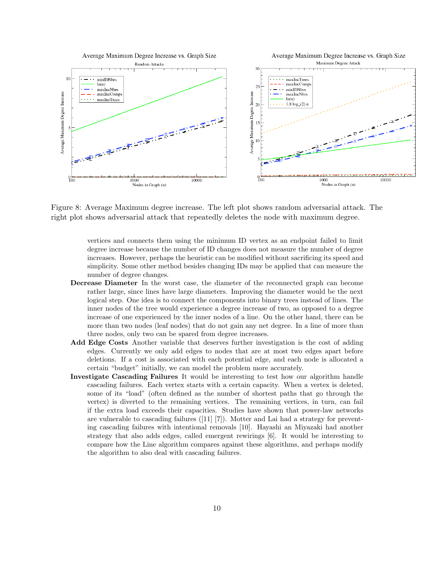

Figure 8: Average Maximum degree increase. The left plot shows random adversarial attack. The right plot shows adversarial attack that repeatedly deletes the node with maximum degree.

vertices and connects them using the minimum ID vertex as an endpoint failed to limit degree increase because the number of ID changes does not measure the number of degree increases. However, perhaps the heuristic can be modified without sacrificing its speed and simplicity. Some other method besides changing IDs may be applied that can measure the number of degree changes.

- Decrease Diameter In the worst case, the diameter of the reconnected graph can become rather large, since lines have large diameters. Improving the diameter would be the next logical step. One idea is to connect the components into binary trees instead of lines. The inner nodes of the tree would experience a degree increase of two, as opposed to a degree increase of one experienced by the inner nodes of a line. On the other hand, there can be more than two nodes (leaf nodes) that do not gain any net degree. In a line of more than three nodes, only two can be spared from degree increases.
- Add Edge Costs Another variable that deserves further investigation is the cost of adding edges. Currently we only add edges to nodes that are at most two edges apart before deletions. If a cost is associated with each potential edge, and each node is allocated a certain "budget" initially, we can model the problem more accurately.
- Investigate Cascading Failures It would be interesting to test how our algorithm handle cascading failures. Each vertex starts with a certain capacity. When a vertex is deleted, some of its "load" (often defined as the number of shortest paths that go through the vertex) is diverted to the remaining vertices. The remaining vertices, in turn, can fail if the extra load exceeds their capacities. Studies have shown that power-law networks are vulnerable to cascading failures  $([11] \, [7])$ . Motter and Lai had a strategy for preventing cascading failures with intentional removals [10]. Hayashi an Miyazaki had another strategy that also adds edges, called emergent rewirings [6]. It would be interesting to compare how the Line algorithm compares against these algorithms, and perhaps modify the algorithm to also deal with cascading failures.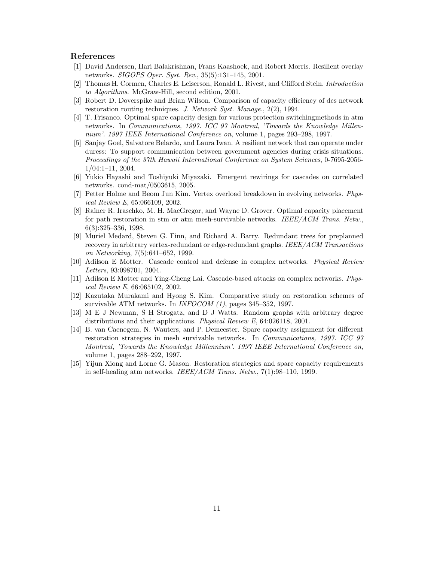# References

- [1] David Andersen, Hari Balakrishnan, Frans Kaashoek, and Robert Morris. Resilient overlay networks. SIGOPS Oper. Syst. Rev., 35(5):131–145, 2001.
- [2] Thomas H. Cormen, Charles E. Leiserson, Ronald L. Rivest, and Clifford Stein. Introduction to Algorithms. McGraw-Hill, second edition, 2001.
- [3] Robert D. Doverspike and Brian Wilson. Comparison of capacity efficiency of dcs network restoration routing techniques. J. Network Syst. Manage., 2(2), 1994.
- [4] T. Frisanco. Optimal spare capacity design for various protection switchingmethods in atm networks. In Communications, 1997. ICC 97 Montreal, 'Towards the Knowledge Millennium'. 1997 IEEE International Conference on, volume 1, pages 293–298, 1997.
- [5] Sanjay Goel, Salvatore Belardo, and Laura Iwan. A resilient network that can operate under duress: To support communication between government agencies during crisis situations. Proceedings of the 37th Hawaii International Conference on System Sciences, 0-7695-2056- 1/04:1–11, 2004.
- [6] Yukio Hayashi and Toshiyuki Miyazaki. Emergent rewirings for cascades on correlated networks. cond-mat/0503615, 2005.
- [7] Petter Holme and Beom Jun Kim. Vertex overload breakdown in evolving networks. Physical Review E, 65:066109, 2002.
- [8] Rainer R. Iraschko, M. H. MacGregor, and Wayne D. Grover. Optimal capacity placement for path restoration in stm or atm mesh-survivable networks. IEEE/ACM Trans. Netw., 6(3):325–336, 1998.
- [9] Muriel Medard, Steven G. Finn, and Richard A. Barry. Redundant trees for preplanned recovery in arbitrary vertex-redundant or edge-redundant graphs. IEEE/ACM Transactions on Networking, 7(5):641–652, 1999.
- [10] Adilson E Motter. Cascade control and defense in complex networks. Physical Review Letters, 93:098701, 2004.
- [11] Adilson E Motter and Ying-Cheng Lai. Cascade-based attacks on complex networks. Physical Review E, 66:065102, 2002.
- [12] Kazutaka Murakami and Hyong S. Kim. Comparative study on restoration schemes of survivable ATM networks. In  $INFOCOM$  (1), pages 345–352, 1997.
- [13] M E J Newman, S H Strogatz, and D J Watts. Random graphs with arbitrary degree distributions and their applications. Physical Review E, 64:026118, 2001.
- [14] B. van Caenegem, N. Wauters, and P. Demeester. Spare capacity assignment for different restoration strategies in mesh survivable networks. In Communications, 1997. ICC 97 Montreal, 'Towards the Knowledge Millennium'. 1997 IEEE International Conference on, volume 1, pages 288–292, 1997.
- [15] Yijun Xiong and Lorne G. Mason. Restoration strategies and spare capacity requirements in self-healing atm networks.  $IEEE/ACM$  Trans. Netw.,  $7(1):98-110$ , 1999.